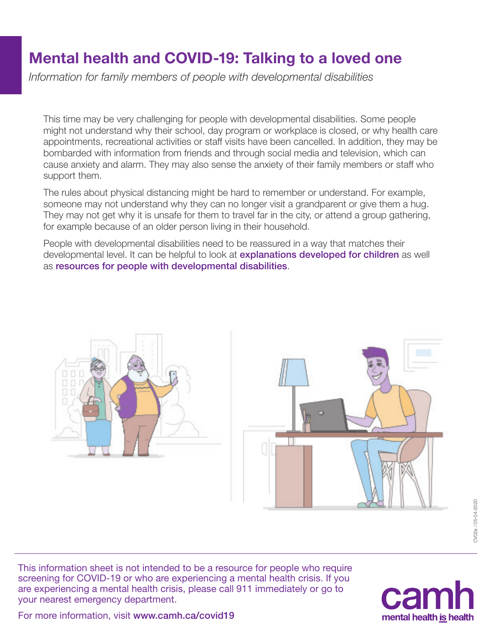## Mental health and COVID-19: Talking to a loved one

*Information for family members of people with developmental disabilities*

This time may be very challenging for people with developmental disabilities. Some people might not understand why their school, day program or workplace is closed, or why health care appointments, recreational activities or staff visits have been cancelled. In addition, they may be bombarded with information from friends and through social media and television, which can cause anxiety and alarm. They may also sense the anxiety of their family members or staff who support them.

The rules about physical distancing might be hard to remember or understand. For example, someone may not understand why they can no longer visit a grandparent or give them a hug. They may not get why it is unsafe for them to travel far in the city, or attend a group gathering, for example because of an older person living in their household.

People with developmental disabilities need to be reassured in a way that matches their developmental level. It can be helpful to look at **[explanations developed for children](http://www.camh.ca/-/media/files/camh_covid19_infosheet-talking_to_kids-pdf.pdf?la=en&hash=59AC3799BC481EC9238ECD9044A98B40C5CEA253)** as well as [resources for people with developmental disabilities](https://www.hcarddcovid.com/info).





This information sheet is not intended to be a resource for people who require screening for COVID-19 or who are experiencing a mental health crisis. If you are experiencing a mental health crisis, please call 911 immediately or go to your nearest emergency department.



For more information, visit [www.camh.ca/covid19](http://www.camh.ca/covid19)